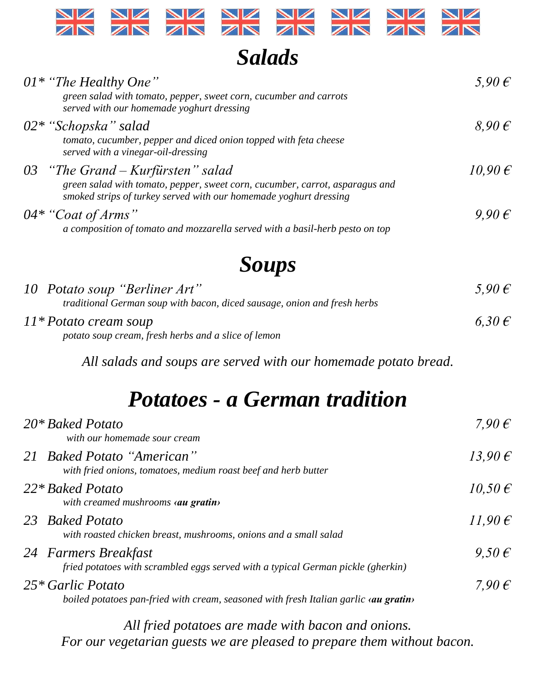

*Salads*

| $01^*$ "The Healthy One"<br>green salad with tomato, pepper, sweet corn, cucumber and carrots<br>served with our homemade yoghurt dressing                                               | $5,90 \in$         |
|------------------------------------------------------------------------------------------------------------------------------------------------------------------------------------------|--------------------|
| $02*$ "Schopska" salad<br>tomato, cucumber, pepper and diced onion topped with feta cheese<br>served with a vinegar-oil-dressing                                                         | $8,90 \in$         |
| 03 "The Grand $-Kurfürsten$ " salad<br>green salad with tomato, pepper, sweet corn, cucumber, carrot, asparagus and<br>smoked strips of turkey served with our homemade yoghurt dressing | $10,90 \in$        |
| 04* "Coat of Arms"<br>a composition of tomato and mozzarella served with a basil-herb pesto on top                                                                                       | $9.90\,\mathrm{E}$ |

## *Soups*

| 10 Potato soup "Berliner Art"<br><i>traditional German soup with bacon, diced sausage, onion and fresh herbs</i> | $5.90 \,\mathrm{E}$ |
|------------------------------------------------------------------------------------------------------------------|---------------------|
| 11* Potato cream soup<br>potato soup cream, fresh herbs and a slice of lemon                                     | 6.30 $\epsilon$     |

*All salads and soups are served with our homemade potato bread.*

# *Potatoes - a German tradition*

| $20*$ Baked Potato<br>with our homemade sour cream                                                                | 7,90 $\epsilon$      |
|-------------------------------------------------------------------------------------------------------------------|----------------------|
| 21 Baked Potato "American"<br>with fried onions, tomatoes, medium roast beef and herb butter                      | 13,90 $\epsilon$     |
| 22* Baked Potato<br>with creamed mushrooms <b>au gratin</b>                                                       | $10.50 \,\mathrm{E}$ |
| 23 Baked Potato<br>with roasted chicken breast, mushrooms, onions and a small salad                               | 11,90 $\epsilon$     |
| 24 Farmers Breakfast<br>fried potatoes with scrambled eggs served with a typical German pickle (gherkin)          | $9.50 \,\mathrm{E}$  |
| $25 *$ Garlic Potato<br>boiled potatoes pan-fried with cream, seasoned with fresh Italian garlic <b>au gratin</b> | 7,90 $\epsilon$      |

*All fried potatoes are made with bacon and onions. For our vegetarian guests we are pleased to prepare them without bacon.*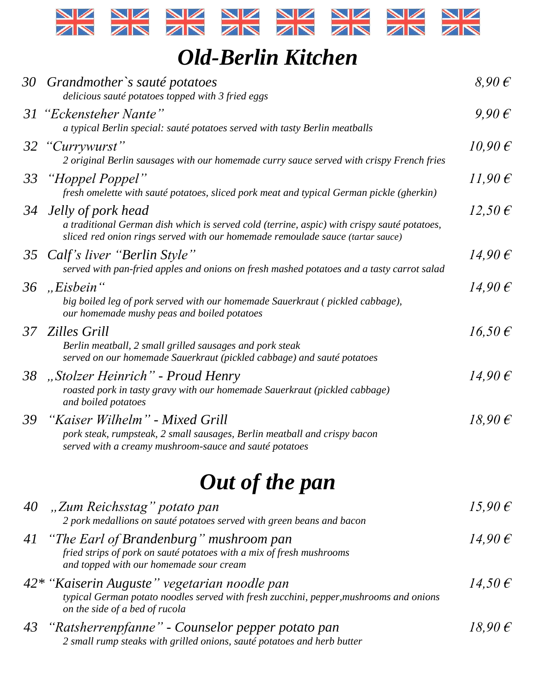

## *Old-Berlin Kitchen*

|    | 30 Grandmother's sauté potatoes<br>delicious sauté potatoes topped with 3 fried eggs                                                                                                                   | $8,90 \in$       |
|----|--------------------------------------------------------------------------------------------------------------------------------------------------------------------------------------------------------|------------------|
|    | 31 "Eckensteher Nante"<br>a typical Berlin special: sauté potatoes served with tasty Berlin meatballs                                                                                                  | $9,90 \in$       |
|    | 32 "Currywurst"<br>2 original Berlin sausages with our homemade curry sauce served with crispy French fries                                                                                            | $10,90 \in$      |
|    | 33 "Hoppel Poppel"<br>fresh omelette with sauté potatoes, sliced pork meat and typical German pickle (gherkin)                                                                                         | $11,90 \in$      |
|    | 34 Jelly of pork head<br>a traditional German dish which is served cold (terrine, aspic) with crispy sauté potatoes,<br>sliced red onion rings served with our homemade remoulade sauce (tartar sauce) | $12,50 \in$      |
|    | 35 Calf's liver "Berlin Style"<br>served with pan-fried apples and onions on fresh mashed potatoes and a tasty carrot salad                                                                            | $14,90 \in$      |
|    | 36, "Eisbein"<br>big boiled leg of pork served with our homemade Sauerkraut (pickled cabbage),<br>our homemade mushy peas and boiled potatoes                                                          | 14,90 $\epsilon$ |
|    | 37 Zilles Grill<br>Berlin meatball, 2 small grilled sausages and pork steak<br>served on our homemade Sauerkraut (pickled cabbage) and sauté potatoes                                                  | $16,50 \in$      |
|    | 38 "Stolzer Heinrich" - Proud Henry<br>roasted pork in tasty gravy with our homemade Sauerkraut (pickled cabbage)<br>and boiled potatoes                                                               | $14,90 \in$      |
|    | 39 "Kaiser Wilhelm" - Mixed Grill<br>pork steak, rumpsteak, 2 small sausages, Berlin meatball and crispy bacon<br>served with a creamy mushroom-sauce and sauté potatoes                               | $18,90 \in$      |
|    | Out of the pan                                                                                                                                                                                         |                  |
|    | 40, "Zum Reichsstag" potato pan<br>2 pork medallions on sauté potatoes served with green beans and bacon                                                                                               | 15,90 $\epsilon$ |
| 41 | "The Earl of Brandenburg" mushroom pan<br>fried strips of pork on sauté potatoes with a mix of fresh mushrooms<br>and topped with our homemade sour cream                                              | 14,90 $\epsilon$ |
|    | 42* "Kaiserin Auguste" vegetarian noodle pan<br>typical German potato noodles served with fresh zucchini, pepper, mushrooms and onions<br>on the side of a bed of rucola                               | $14,50 \in$      |
| 43 | "Ratsherrenpfanne" - Counselor pepper potato pan<br>2 small rump steaks with grilled onions, sauté potatoes and herb butter                                                                            | 18,90 $\epsilon$ |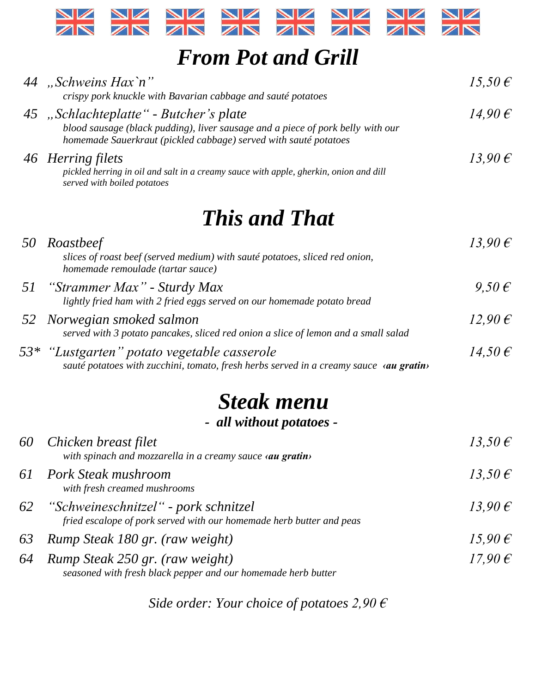

### *From Pot and Grill*

|    | 44 "Schweins Hax`n"                                                                                                                                                                           | $15,50 \in$      |
|----|-----------------------------------------------------------------------------------------------------------------------------------------------------------------------------------------------|------------------|
|    | crispy pork knuckle with Bavarian cabbage and sauté potatoes                                                                                                                                  |                  |
|    | 45 "Schlachteplatte" - Butcher's plate<br>blood sausage (black pudding), liver sausage and a piece of pork belly with our<br>homemade Sauerkraut (pickled cabbage) served with sauté potatoes | 14,90 $\epsilon$ |
|    | 46 Herring filets<br>pickled herring in oil and salt in a creamy sauce with apple, gherkin, onion and dill<br>served with boiled potatoes                                                     | $13,90 \in$      |
|    | <b>This and That</b>                                                                                                                                                                          |                  |
| 50 | Roastbeef<br>slices of roast beef (served medium) with sauté potatoes, sliced red onion,<br>homemade remoulade (tartar sauce)                                                                 | $13,90 \in$      |
| 51 | "Strammer Max" - Sturdy Max<br>lightly fried ham with 2 fried eggs served on our homemade potato bread                                                                                        | $9,50 \in$       |
| 52 | Norwegian smoked salmon<br>served with 3 potato pancakes, sliced red onion a slice of lemon and a small salad                                                                                 | $12,90 \in$      |
|    | 53* "Lustgarten" potato vegetable casserole<br>sauté potatoes with zucchini, tomato, fresh herbs served in a creamy sauce «au gratin»                                                         | $14,50 \in$      |
|    | <b>Steak menu</b>                                                                                                                                                                             |                  |
|    | - all without potatoes -                                                                                                                                                                      |                  |
| 60 | Chicken breast filet<br>with spinach and mozzarella in a creamy sauce «au gratin»                                                                                                             | 13,50 $\epsilon$ |
| 61 | Pork Steak mushroom<br>with fresh creamed mushrooms                                                                                                                                           | 13,50 $\epsilon$ |

- *62 "Schweineschnitzel" - pork schnitzel 13,90 € fried escalope of pork served with our homemade herb butter and peas 63 Rump Steak 180 gr. (raw weight) 15,90 € 64 Rump Steak 250 gr. (raw weight) 17,90 €*
	- *seasoned with fresh black pepper and our homemade herb butter*

*Side order: Your choice of potatoes 2,90 €*